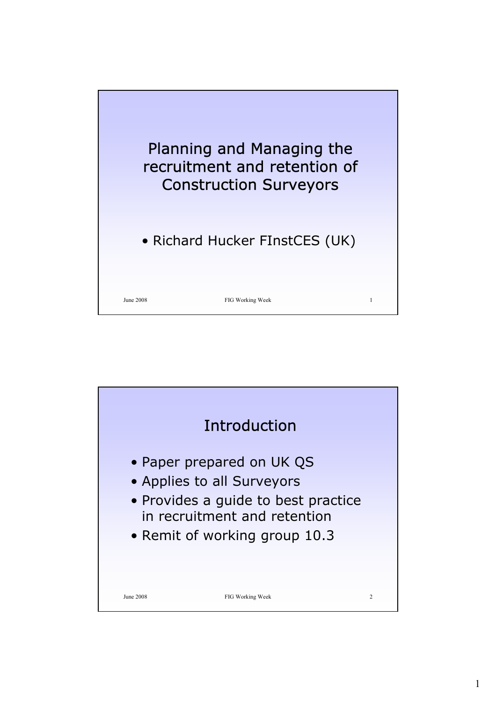

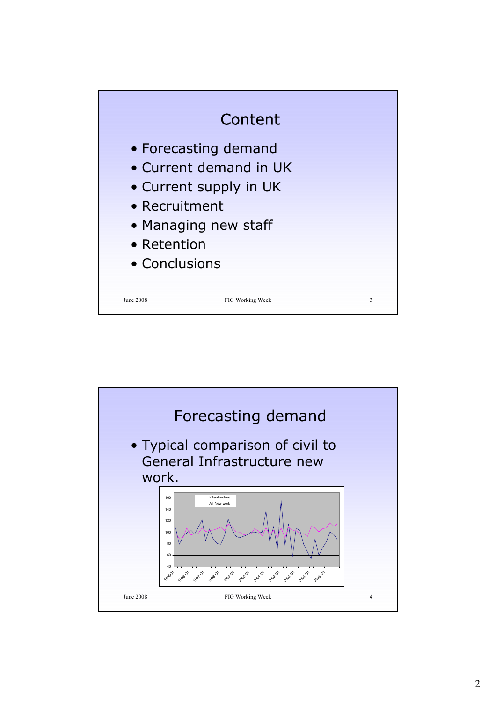

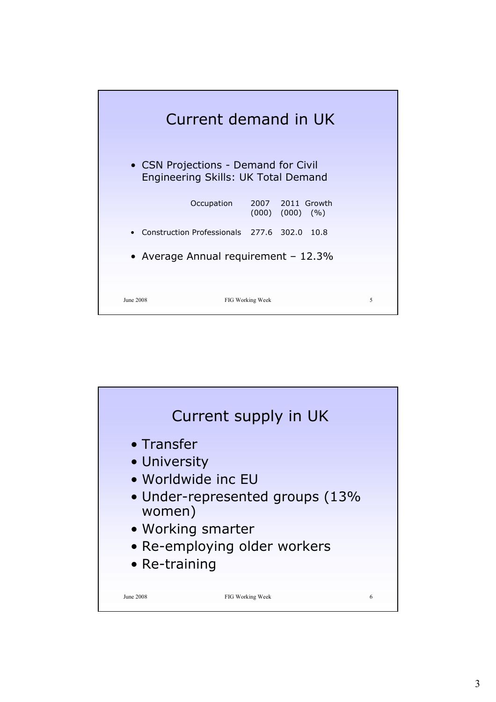

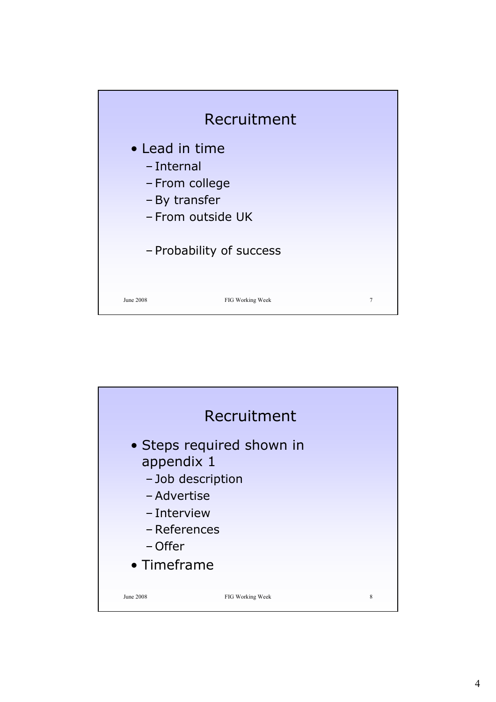

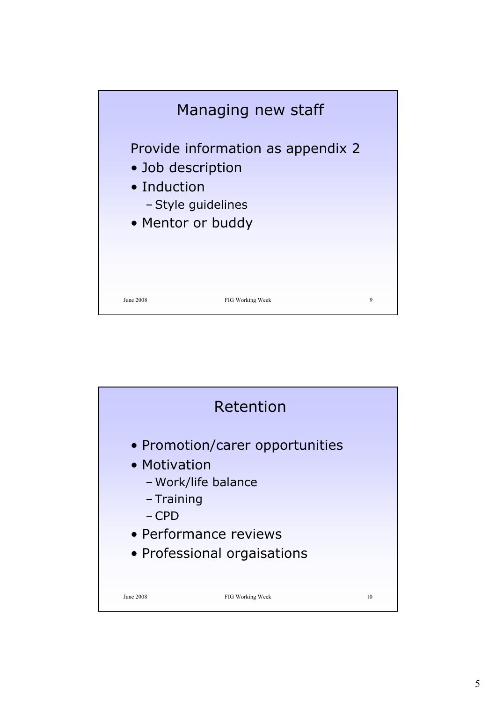